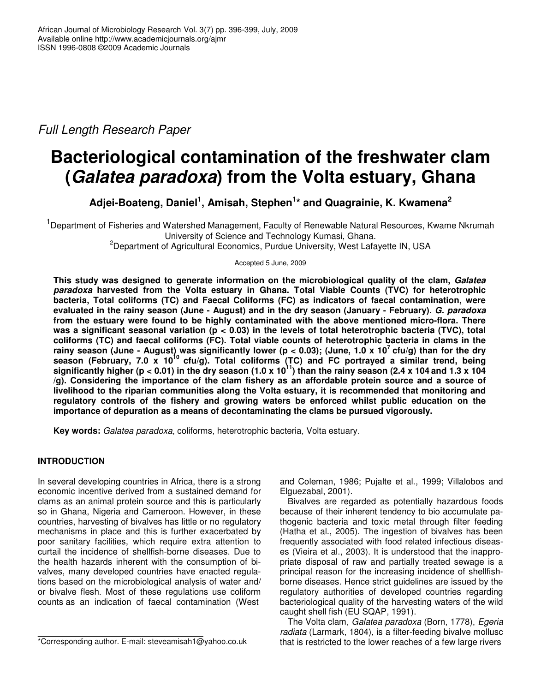*Full Length Research Paper*

# **Bacteriological contamination of the freshwater clam (***Galatea paradoxa***) from the Volta estuary, Ghana**

**Adjei-Boateng, Daniel 1 , Amisah, Stephen 1 \* and Quagrainie, K. Kwamena 2**

<sup>1</sup>Department of Fisheries and Watershed Management, Faculty of Renewable Natural Resources, Kwame Nkrumah University of Science and Technology Kumasi, Ghana*.* <sup>2</sup>Department of Agricultural Economics, Purdue University, West Lafayette IN, USA

Accepted 5 June, 2009

**This study was designed to generate information on the microbiological quality of the clam,** *Galatea paradoxa* **harvested from the Volta estuary in Ghana. Total Viable Counts (TVC) for heterotrophic bacteria, Total coliforms (TC) and Faecal Coliforms (FC) as indicators of faecal contamination, were** evaluated in the rainy season (June - August) and in the dry season (January - February). G. paradoxa **from the estuary were found to be highly contaminated with the above mentioned micro-flora. There** was a significant seasonal variation ( $p < 0.03$ ) in the levels of total heterotrophic bacteria (TVC), total **coliforms (TC) and faecal coliforms (FC). Total viable counts of heterotrophic bacteria in clams in the** rainy season (June - August) was significantly lower (p < 0.03); (June, 1.0 x 10<sup>7</sup> cfu/g) than for the dry **season (February, 7.0 x 10 10 cfu/g). Total coliforms (TC) and FC portrayed a similar trend, being** significantly higher (p < 0.01) in the dry season (1.0 x 10<sup>11</sup>) than the rainy season (2.4 x 104 and 1.3 x 104 **/g). Considering the importance of the clam fishery as an affordable protein source and a source of livelihood to the riparian communities along the Volta estuary, it is recommended that monitoring and regulatory controls of the fishery and growing waters be enforced whilst public education on the importance of depuration as a means of decontaminating the clams be pursued vigorously.**

**Key words:** *Galatea paradoxa*, coliforms, heterotrophic bacteria, Volta estuary.

# **INTRODUCTION**

In several developing countries in Africa, there is a strong economic incentive derived from a sustained demand for clams as an animal protein source and this is particularly so in Ghana, Nigeria and Cameroon. However, in these countries, harvesting of bivalves has little or no regulatory mechanisms in place and this is further exacerbated by poor sanitary facilities, which require extra attention to curtail the incidence of shellfish-borne diseases. Due to the health hazards inherent with the consumption of bivalves, many developed countries have enacted regulations based on the microbiological analysis of water and/ or bivalve flesh. Most of these regulations use coliform counts as an indication of faecal contamination (West

and Coleman, 1986; Pujalte et al., 1999; Villalobos and Elguezabal, 2001).

Bivalves are regarded as potentially hazardous foods because of their inherent tendency to bio accumulate pathogenic bacteria and toxic metal through filter feeding (Hatha et al., 2005). The ingestion of bivalves has been frequently associated with food related infectious diseases (Vieira et al., 2003). It is understood that the inappropriate disposal of raw and partially treated sewage is a principal reason for the increasing incidence of shellfishborne diseases. Hence strict guidelines are issued by the regulatory authorities of developed countries regarding bacteriological quality of the harvesting waters of the wild caught shell fish (EU SQAP, 1991).

The Volta clam, *Galatea paradoxa* (Born, 1778), *Egeria radiata* (Larmark, 1804), is a filter-feeding bivalve mollusc that is restricted to the lower reaches of a few large rivers

<sup>\*</sup>Corresponding author. E-mail: steveamisah1@yahoo.co.uk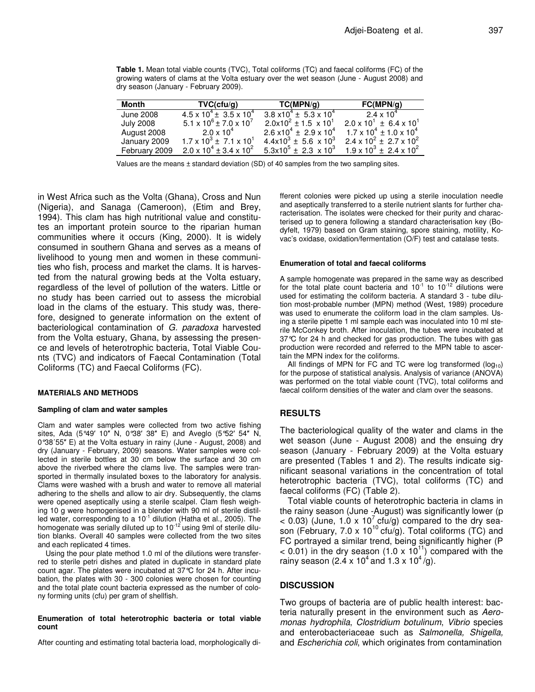**Table 1.** Mean total viable counts (TVC), Total coliforms (TC) and faecal coliforms (FC) of the growing waters of clams at the Volta estuary over the wet season (June - August 2008) and dry season (January - February 2009).

| Month            | TVC(cfu/g)                                | TC(MPN/g)                                 | FC(MPN/q)                                                                           |
|------------------|-------------------------------------------|-------------------------------------------|-------------------------------------------------------------------------------------|
| June 2008        | $4.5 \times 10^{4} \pm 3.5 \times 10^{4}$ | $3.8 \times 10^4 \pm 5.3 \times 10^4$     | 2.4 x 10 $^4$                                                                       |
| <b>July 2008</b> | $5.1 \times 10^6 \pm 7.0 \times 10^7$     | $2.0x10^{2} \pm 1.5 \times 10^{1}$        | $2.0 \times 10^{1} \pm 6.4 \times 10^{1}$                                           |
| August 2008      | $2.0 \times 10^4$                         | $2.6 \times 10^{4} \pm 2.9 \times 10^{4}$ | $1.7 \times 10^4 \pm 1.0 \times 10^4$                                               |
| January 2009     | $1.7 \times 10^3 \pm 7.1 \times 10^1$     | $4.4 \times 10^{3} \pm 5.6 \times 10^{3}$ | $2.4 \times 10^{2} \pm 2.7 \times 10^{2}$                                           |
| February 2009    | $2.0 \times 10^4 \pm 3.4 \times 10^2$     |                                           | $5.3 \times 10^5 \pm 2.3 \times 10^3$ 1.9 x 10 <sup>3</sup> ± 2.4 x 10 <sup>2</sup> |

Values are the means ± standard deviation (SD) of 40 samples from the two sampling sites.

in West Africa such as the Volta (Ghana), Cross and Nun (Nigeria), and Sanaga (Cameroon), (Etim and Brey, 1994). This clam has high nutritional value and constitutes an important protein source to the riparian human communities where it occurs (King, 2000). It is widely consumed in southern Ghana and serves as a means of livelihood to young men and women in these communities who fish, process and market the clams. It is harvested from the natural growing beds at the Volta estuary, regardless of the level of pollution of the waters. Little or no study has been carried out to assess the microbial load in the clams of the estuary. This study was, therefore, designed to generate information on the extent of bacteriological contamination of *G. paradoxa* harvested from the Volta estuary, Ghana, by assessing the presence and levels of heterotrophic bacteria, Total Viable Counts (TVC) and indicators of Faecal Contamination (Total Coliforms (TC) and Faecal Coliforms (FC).

#### **MATERIALS AND METHODS**

#### **Sampling of clam and water samples**

Clam and water samples were collected from two active fishing sites, Ada (5°49' 10" N, 0°38' 38" E) and Aveglo (5°52' 54" N, 0°38'55" E) at the Volta estuary in rainy (June - August, 2008) and dry (January - February, 2009) seasons. Water samples were collected in sterile bottles at 30 cm below the surface and 30 cm above the riverbed where the clams live. The samples were transported in thermally insulated boxes to the laboratory for analysis. Clams were washed with a brush and water to remove all material adhering to the shells and allow to air dry. Subsequently, the clams were opened aseptically using a sterile scalpel. Clam flesh weighing 10 g were homogenised in a blender with 90 ml of sterile distilled water, corresponding to a 10<sup>-1</sup> dilution (Hatha et al., 2005). The homogenate was serially diluted up to 10<sup>-12</sup> using 9ml of sterile dilution blanks. Overall 40 samples were collected from the two sites and each replicated 4 times.

Using the pour plate method 1.0 ml of the dilutions were transferred to sterile petri dishes and plated in duplicate in standard plate count agar. The plates were incubated at 37°C for 24 h. After incubation, the plates with 30 - 300 colonies were chosen for counting and the total plate count bacteria expressed as the number of colony forming units (cfu) per gram of shellfish.

#### **Enumeration of total heterotrophic bacteria or total viable count**

After counting and estimating total bacteria load, morphologically di-

fferent colonies were picked up using a sterile inoculation needle and aseptically transferred to a sterile nutrient slants for further characterisation. The isolates were checked for their purity and characterised up to genera following a standard characterisation key (Bodyfelt, 1979) based on Gram staining, spore staining, motility, Kovac's oxidase, oxidation/fermentation (O/F) test and catalase tests.

#### **Enumeration of total and faecal coliforms**

A sample homogenate was prepared in the same way as described for the total plate count bacteria and  $10^{-1}$  to  $10^{-12}$  dilutions were used for estimating the coliform bacteria. A standard 3 - tube dilution most-probable number (MPN) method (West, 1989) procedure was used to enumerate the coliform load in the clam samples. Using a sterile pipette 1 ml sample each was inoculated into 10 ml sterile McConkey broth. After inoculation, the tubes were incubated at 37°C for 24 h and checked for gas production. The tubes with gas production were recorded and referred to the MPN table to ascertain the MPN index for the coliforms.

All findings of MPN for FC and TC were log transformed  $(log_{10})$ for the purpose of statistical analysis. Analysis of variance (ANOVA) was performed on the total viable count (TVC), total coliforms and faecal coliform densities of the water and clam over the seasons.

# **RESULTS**

The bacteriological quality of the water and clams in the wet season (June - August 2008) and the ensuing dry season (January - February 2009) at the Volta estuary are presented (Tables 1 and 2). The results indicate significant seasonal variations in the concentration of total heterotrophic bacteria (TVC), total coliforms (TC) and faecal coliforms (FC) (Table 2).

Total viable counts of heterotrophic bacteria in clams in the rainy season (June -August) was significantly lower (p  $<$  0.03) (June, 1.0 x 10<sup>7</sup> cfu/g) compared to the dry season (February, 7.0 x 10<sup>10</sup> cfu/g). Total coliforms (TC) and FC portrayed a similar trend, being significantly higher (P  $<$  0.01) in the dry season (1.0 x 10<sup>11</sup>) compared with the rainy season (2.4 x 10<sup>4</sup> and 1.3 x 10<sup>4</sup>/g).

## **DISCUSSION**

Two groups of bacteria are of public health interest: bacteria naturally present in the environment such as *Aeromonas hydrophila*, *Clostridium botulinum*, *Vibrio* species and enterobacteriaceae such as *Salmonella, Shigella,* and *Escherichia coli*, which originates from contamination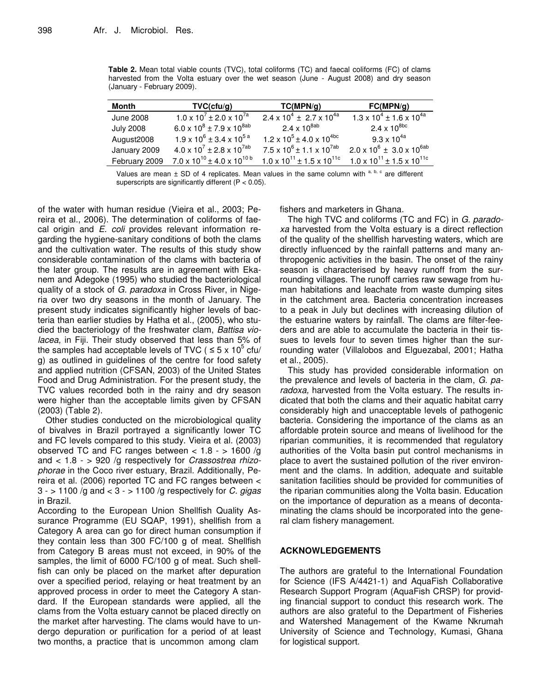**Table 2.** Mean total viable counts (TVC), total coliforms (TC) and faecal coliforms (FC) of clams harvested from the Volta estuary over the wet season (June - August 2008) and dry season (January - February 2009).

| Month            | TVC(ctu/g)                                   | TC(MPN/g)                                    | FC(MPN/g)                                    |
|------------------|----------------------------------------------|----------------------------------------------|----------------------------------------------|
| <b>June 2008</b> | $1.0 \times 10^{7} \pm 2.0 \times 10^{7a}$   | $2.4 \times 10^{4} \pm 2.7 \times 10^{4a}$   | $1.3 \times 10^4 \pm 1.6 \times 10^{4a}$     |
| <b>July 2008</b> | 6.0 x $10^8 \pm 7.9$ x $10^{8ab}$            | 2.4 x $10^{8ab}$                             | $2.4 \times 10^{8bc}$                        |
| August2008       | $1.9 \times 10^6 \pm 3.4 \times 10^{5 a}$    | $1.2 \times 10^5 \pm 4.0 \times 10^{4}$      | $9.3 \times 10^{4a}$                         |
| January 2009     | $4.0 \times 10^{7} \pm 2.8 \times 10^{7}$ ab | $7.5 \times 10^6 \pm 1.1 \times 10^{7ab}$    | $2.0 \times 10^6 \pm 3.0 \times 10^{6ab}$    |
| February 2009    | $7.0 \times 10^{10} \pm 4.0 \times 10^{10}$  | $1.0 \times 10^{11} \pm 1.5 \times 10^{11c}$ | $1.0 \times 10^{11} \pm 1.5 \times 10^{11c}$ |

Values are mean ± SD of 4 replicates. Mean values in the same column with a, b, c are different superscripts are significantly different (P < 0.05).

of the water with human residue (Vieira et al., 2003; Pereira et al., 2006). The determination of coliforms of faecal origin and *E. coli* provides relevant information regarding the hygiene-sanitary conditions of both the clams and the cultivation water. The results of this study show considerable contamination of the clams with bacteria of the later group. The results are in agreement with Ekanem and Adegoke (1995) who studied the bacteriological quality of a stock of *G. paradoxa* in Cross River, in Nigeria over two dry seasons in the month of January. The present study indicates significantly higher levels of bacteria than earlier studies by Hatha et al., (2005), who studied the bacteriology of the freshwater clam, *Battisa violacea,* in Fiji. Their study observed that less than 5% of the samples had acceptable levels of TVC (  $\leq$  5 x 10<sup>5</sup> cfu/ g) as outlined in guidelines of the centre for food safety and applied nutrition (CFSAN, 2003) of the United States Food and Drug Administration. For the present study, the TVC values recorded both in the rainy and dry season were higher than the acceptable limits given by CFSAN (2003) (Table 2).

Other studies conducted on the microbiological quality of bivalves in Brazil portrayed a significantly lower TC and FC levels compared to this study. Vieira et al. (2003) observed TC and FC ranges between  $< 1.8 - 1600/g$ and < 1.8 - > 920 /g respectively for *Crassostrea rhizophorae* in the Coco river estuary, Brazil. Additionally, Pereira et al. (2006) reported TC and FC ranges between < 3 - > 1100 /g and < 3 - > 1100 /g respectively for *C. gigas* in Brazil.

According to the European Union Shellfish Quality Assurance Programme (EU SQAP, 1991), shellfish from a Category A area can go for direct human consumption if they contain less than 300 FC/100 g of meat. Shellfish from Category B areas must not exceed, in 90% of the samples, the limit of 6000 FC/100 g of meat. Such shellfish can only be placed on the market after depuration over a specified period, relaying or heat treatment by an approved process in order to meet the Category A standard. If the European standards were applied, all the clams from the Volta estuary cannot be placed directly on the market after harvesting. The clams would have to undergo depuration or purification for a period of at least two months, a practice that is uncommon among clam

fishers and marketers in Ghana.

The high TVC and coliforms (TC and FC) in *G. paradoxa* harvested from the Volta estuary is a direct reflection of the quality of the shellfish harvesting waters, which are directly influenced by the rainfall patterns and many anthropogenic activities in the basin. The onset of the rainy season is characterised by heavy runoff from the surrounding villages. The runoff carries raw sewage from human habitations and leachate from waste dumping sites in the catchment area. Bacteria concentration increases to a peak in July but declines with increasing dilution of the estuarine waters by rainfall. The clams are filter-feeders and are able to accumulate the bacteria in their tissues to levels four to seven times higher than the surrounding water (Villalobos and Elguezabal, 2001; Hatha et al., 2005).

This study has provided considerable information on the prevalence and levels of bacteria in the clam, *G. paradoxa,* harvested from the Volta estuary. The results indicated that both the clams and their aquatic habitat carry considerably high and unacceptable levels of pathogenic bacteria. Considering the importance of the clams as an affordable protein source and means of livelihood for the riparian communities, it is recommended that regulatory authorities of the Volta basin put control mechanisms in place to avert the sustained pollution of the river environment and the clams. In addition, adequate and suitable sanitation facilities should be provided for communities of the riparian communities along the Volta basin. Education on the importance of depuration as a means of decontaminating the clams should be incorporated into the general clam fishery management.

# **ACKNOWLEDGEMENTS**

The authors are grateful to the International Foundation for Science (IFS A/4421-1) and AquaFish Collaborative Research Support Program (AquaFish CRSP) for providing financial support to conduct this research work. The authors are also grateful to the Department of Fisheries and Watershed Management of the Kwame Nkrumah University of Science and Technology, Kumasi, Ghana for logistical support.